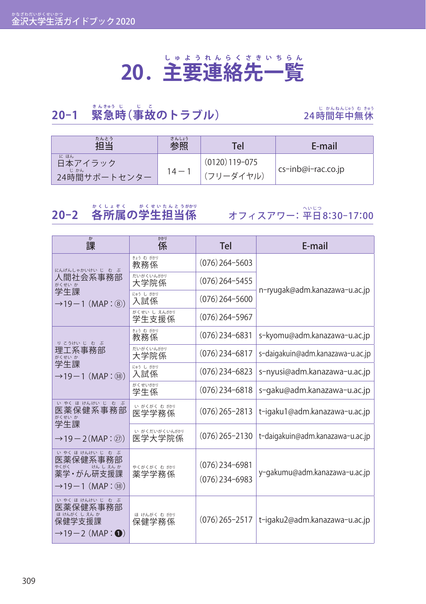#### **20.主 し ゅ 要 よ う 連 れ ん 絡 ら く 先 さ き 一 い ち 覧 ら ん**

### **20−1 「緊急時(事故のトラブル)** 24時

### 。<br>特間年中無休

| たんとう<br>扣当                            | さんしょう<br>参照 | Tel                           | E-mail              |
|---------------------------------------|-------------|-------------------------------|---------------------|
| にほん<br>日本アイラック<br>じかん<br>24時間サポートセンター | $14 - i$    | $(0120)$ 119-075<br>(フリーダイヤル) | ∟cs-inb@i-rac.co.jp |

### 20−2 各所属の学生担当係

オフィスアワー: 平日8:30-17:00

| ゕ<br>課                                                                                       | かかり<br>係                | <b>Tel</b>                           | E-mail                           |
|----------------------------------------------------------------------------------------------|-------------------------|--------------------------------------|----------------------------------|
| にんげんしゃかいけい じ む ぶ                                                                             | きょう む がかり<br>教務係        | $(076)$ 264-5603                     |                                  |
| 人間社会系事務部<br>がくせい か                                                                           | だいがくいんがかり<br>大学院係       | $(076)$ 264-5455                     |                                  |
| 学生課<br>$\rightarrow$ 19 $-$ 1 (MAP : 8)                                                      | にゅう し がかり<br>入試係        | $(076)$ 264-5600                     | n-ryugak@adm.kanazawa-u.ac.jp    |
|                                                                                              | がくせい し えんがかり<br>学生支援係   | $(076)$ 264-5967                     |                                  |
| りこうけいじむぶ                                                                                     | きょう む がかり<br>教務係        | $(076)$ 234-6831                     | s-kyomu@adm.kanazawa-u.ac.jp     |
| 理工系事務部<br>がくせい か                                                                             | だいがくいんがかり<br>大学院係       | $(076)$ 234-6817                     | s-daigakuin@adm.kanazawa-u.ac.jp |
| 学生課<br>$\rightarrow$ 19 $-$ 1 (MAP : 38)                                                     | にゅう し がかり<br>入試係        | $(076)$ 234-6823                     | s-nyusi@adm.kanazawa-u.ac.jp     |
|                                                                                              | がくせいがかり<br>学生係          | $(076)$ 234-6818                     | s-gaku@adm.kanazawa-u.ac.jp      |
| いやくほけんけいじ むぶ<br>医薬保健系事務部<br>がくせい か<br>学生課                                                    | い がくがく む がかり<br>医学学務係   | $(076)$ 265-2813                     | t-igaku1@adm.kanazawa-u.ac.jp    |
| $\rightarrow$ 19 $-$ 2 (MAP : $(27)$ )                                                       | い がくだいがくいんがかり<br>医学大学院係 | $(076)$ 265-2130                     | t-daigakuin@adm.kanazawa-u.ac.jp |
| いゃくほけんけいじ むぶ<br>医薬保健系事務部<br>やくがく<br>けんしえんか<br>薬学・がん研支援課<br>$\rightarrow$ 19 $-$ 1 (MAP : 38) | やくがくがく む がかり<br>薬学学務係   | $(076)$ 234-6981<br>$(076)$ 234-6983 | y-gakumu@adm.kanazawa-u.ac.jp    |
| いやくほけんけいじ む ぶ<br>医薬保健系事務部<br>ほけんがく しえんか<br>保健学支援課<br>$\rightarrow$ 19-2 (MAP: $\odot$ )      | ほ けんがく む がかり<br>保健学務係   | $(076)$ 265-2517                     | t-igaku2@adm.kanazawa-u.ac.jp    |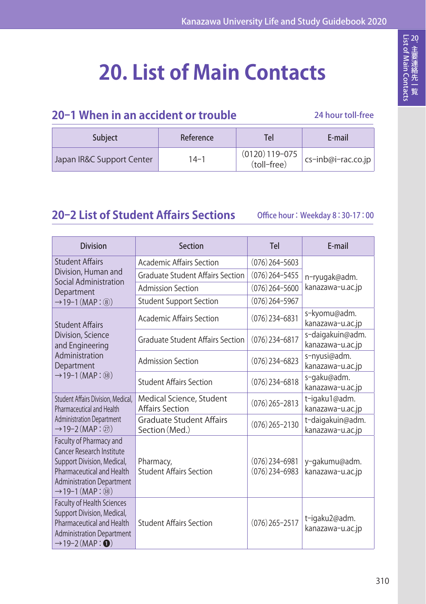# **20. List of Main Contacts**

#### **20-1 When in an accident or trouble**

24 hour toll-free

| <b>Subject</b>            | Reference | Tel                             | E-mail                |
|---------------------------|-----------|---------------------------------|-----------------------|
| Japan IR&C Support Center | $14 - 1$  | $(0120)$ 119-075<br>(toll-free) | $cs$ -inb@i-rac.co.jp |

#### **20-2 List of Student Affairs Sections**

Office hour: Weekday 8:30-17:00

| <b>Division</b>                                                                                                                                                                      | Section                                            | Tel                                  | E-mail                               |
|--------------------------------------------------------------------------------------------------------------------------------------------------------------------------------------|----------------------------------------------------|--------------------------------------|--------------------------------------|
| <b>Student Affairs</b>                                                                                                                                                               | Academic Affairs Section                           | $(076)$ 264-5603                     |                                      |
| Division, Human and<br>Social Administration                                                                                                                                         | <b>Graduate Student Affairs Section</b>            | $(076)$ 264-5455                     | n-ryugak@adm.                        |
| Department                                                                                                                                                                           | <b>Admission Section</b>                           | $(076)$ 264-5600                     | kanazawa-u.ac.jp                     |
| $\rightarrow$ 19-1 (MAP : (8))                                                                                                                                                       | <b>Student Support Section</b>                     | $(076)$ 264-5967                     |                                      |
| <b>Student Affairs</b>                                                                                                                                                               | <b>Academic Affairs Section</b>                    | $(076)$ 234-6831                     | s-kyomu@adm.<br>kanazawa-u.ac.jp     |
| Division, Science<br>and Engineering                                                                                                                                                 | <b>Graduate Student Affairs Section</b>            | $(076)$ 234-6817                     | s-daigakuin@adm.<br>kanazawa-u.ac.jp |
| Administration<br>Department                                                                                                                                                         | <b>Admission Section</b>                           | $(076)$ 234-6823                     | s-nyusi@adm.<br>kanazawa-u.ac.jp     |
| $\rightarrow$ 19-1 (MAP : 38)                                                                                                                                                        | <b>Student Affairs Section</b>                     | $(076)$ 234-6818                     | s-gaku@adm.<br>kanazawa-u.ac.jp      |
| Student Affairs Division, Medical,<br>Pharmaceutical and Health                                                                                                                      | Medical Science, Student<br><b>Affairs Section</b> | $(076)$ 265-2813                     | t-igaku1@adm.<br>kanazawa-u.ac.jp    |
| <b>Administration Department</b><br>$\rightarrow$ 19-2 (MAP : $\widehat{27}$ )                                                                                                       | <b>Graduate Student Affairs</b><br>Section (Med.)  | $(076)$ 265-2130                     | t-daigakuin@adm.<br>kanazawa-u.ac.jp |
| Faculty of Pharmacy and<br>Cancer Research Institute<br>Support Division, Medical,<br>Pharmaceutical and Health<br><b>Administration Department</b><br>$\rightarrow$ 19-1 (MAP : 38) | Pharmacy,<br><b>Student Affairs Section</b>        | $(076)$ 234-6981<br>$(076)$ 234-6983 | y-gakumu@adm.<br>kanazawa-u.ac.jp    |
| <b>Faculty of Health Sciences</b><br>Support Division, Medical,<br>Pharmaceutical and Health<br><b>Administration Department</b><br>$\rightarrow$ 19-2 (MAP : $\bullet$ )            | <b>Student Affairs Section</b>                     | $(076)$ 265-2517                     | t-igaku2@adm.<br>kanazawa-u.ac.jp    |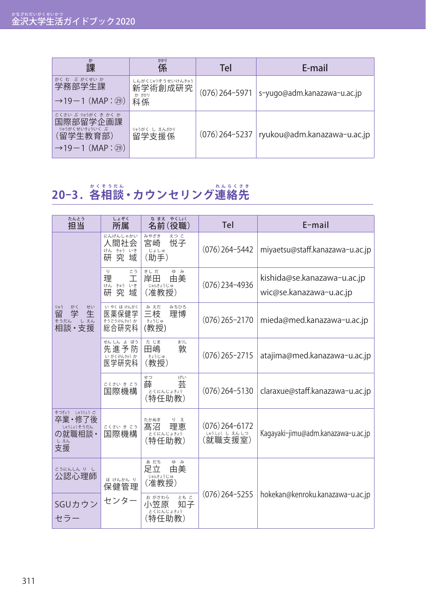| ゕ<br>課                                                                                                 | かかり<br>係                                   | Tel | E-mail                                         |
|--------------------------------------------------------------------------------------------------------|--------------------------------------------|-----|------------------------------------------------|
| がく むーぶ がくせい か<br>学務部学生課<br>$\rightarrow$ 19 $-$ 1 (MAP : $(29)$ )                                      | しんがくじゅつそうせいけんきゅう<br>新学術創成研究<br>か がかり<br>科係 |     | $(076)$ 264-5971   s-yugo@adm.kanazawa-u.ac.jp |
| こくさい ぶりゅうがく き かく か<br>国際部留学企画課<br>りゅうがくせいきょういく ぶ<br>(留学生教育部)<br>$\rightarrow$ 19 $-$ 1 (MAP : $(29)$ ) | りゅうがく し えんがかり<br>留学支援係                     |     | (076) 264-5237   ryukou@adm.kanazawa-u.ac.jp   |

## 20−3.各相談 • カウンセリング連絡先

| たんとう<br>担当                                                    | しょぞく<br>所属                                         | なまえ やくしょく<br>名前(役職)                               | Tel                                         | E-mail                                                 |
|---------------------------------------------------------------|----------------------------------------------------|---------------------------------------------------|---------------------------------------------|--------------------------------------------------------|
|                                                               | にんげんしゃかい<br>人間社会<br>きゅう<br>けん<br>いき<br>究<br>研<br>域 | みやざき<br>えつこ<br>悦子<br>宮崎<br>じょしゅ<br>(助手)           | $(076)$ 264-5442                            | miyaetsu@staff.kanazawa-u.ac.jp                        |
|                                                               | ij.<br>こう<br>理<br>工<br>けん きゅう いき<br>研<br>究.<br>域   | きしだ<br>ゆみ<br>岸田<br>由美<br>じゅんきょうじゅ<br>(准教授)        | $(076)$ 234-4936                            | kishida@se.kanazawa-u.ac.jp<br>wic@se.kanazawa-u.ac.jp |
| りゅう<br>がく<br>せい<br>留<br>学<br>生<br>しえん<br>そうだん<br>相談·支援        | いやく ほけんがく<br>医薬保健学<br>そうごうけんきゅうか<br>総合研究科          | みえだ<br>みちひろ<br>三枝<br>理博<br>きょうじゅ<br>(教授)          | $(076)$ 265-2170                            | mieda@med.kanazawa-u.ac.jp                             |
|                                                               | せんしん よぼう<br>先進予防<br>いがくけんきゅうか<br>医学研究科             | た じま<br>あつし<br>田嶋<br>敦<br>きょうじゅ<br>(教授)           | $(076)$ 265-2715                            | atajima@med.kanazawa-u.ac.jp                           |
|                                                               | こくさい き こう<br>国際機構                                  | せつ<br>げい<br>芸<br>薛<br>とくにんじょきょう<br>(特任助教)         | $(076)$ 264-5130                            | claraxue@staff.kanazawa-u.ac.jp                        |
| そつぎょう しゅうりょう ご<br>卒業・修了後<br>しゅうしょくそうだん<br>の就職相談・<br>しえん<br>支援 | こくさい き こう<br>国際機構                                  | たかぬま<br>りえ<br>髙沼<br>理恵<br>とくにんじょきょう<br>(特任助教)     | $(076)$ 264-6172<br>しゅうしょく しえんしつ<br>(就職支援室) | Kagayaki-jimu@adm.kanazawa-u.ac.jp                     |
| こうにんしんり し<br>公認心理師                                            | ほ けんかん り<br>保健管理                                   | あだち<br>ゆみ<br>由美<br>足立<br>じゅんきょうじゅ<br>(准教授)        |                                             |                                                        |
| SGUカウン<br>セラー                                                 | センター                                               | ともこ<br>お がさわら<br>小笠原<br>知子<br>とくにんじょきょう<br>(特任助教) | $(076)$ 264-5255                            | hokekan@kenroku.kanazawa-u.ac.jp                       |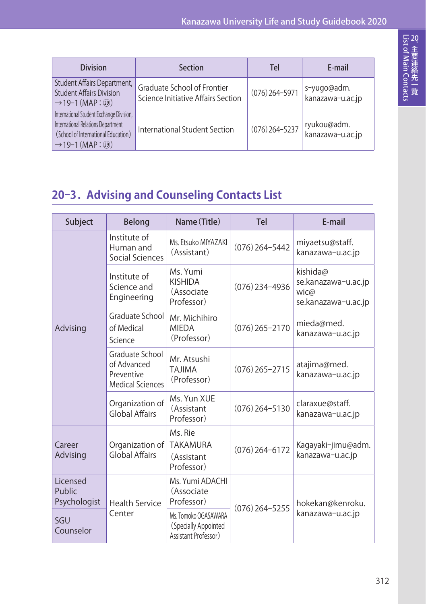| <b>Division</b>                                                                                                                                        | Section                                                           | Tel              | E-mail                          |
|--------------------------------------------------------------------------------------------------------------------------------------------------------|-------------------------------------------------------------------|------------------|---------------------------------|
| Student Affairs Department,<br><b>Student Affairs Division</b><br>$\rightarrow$ 19-1 (MAP : $(29)$ )                                                   | Graduate School of Frontier<br>Science Initiative Affairs Section | $(076)$ 264-5971 | s-yugo@adm.<br>kanazawa-u.ac.jp |
| International Student Exchange Division,<br>International Relations Department<br>(School of International Education)<br>$\rightarrow$ 19-1 (MAP : 29) | International Student Section                                     | $(076)$ 264-5237 | ryukou@adm.<br>kanazawa-u.ac.jp |

#### **20-3.Advising and Counseling Contacts List**

| Subject                            | Belong                                                                  | Name (Title)                                                         | <b>Tel</b>       | E-mail                                                         |  |
|------------------------------------|-------------------------------------------------------------------------|----------------------------------------------------------------------|------------------|----------------------------------------------------------------|--|
| Advising                           | Institute of<br>Human and<br>Social Sciences                            | Ms. Etsuko MIYAZAKI<br>(Assistant)                                   | $(076)$ 264-5442 | miyaetsu@staff.<br>kanazawa-u.ac.jp                            |  |
|                                    | Institute of<br>Science and<br>Engineering                              | Ms. Yumi<br><b>KISHIDA</b><br>(Associate<br>Professor)               | $(076)$ 234-4936 | kishida@<br>se.kanazawa-u.ac.jp<br>wic@<br>se.kanazawa-u.ac.jp |  |
|                                    | Graduate School<br>of Medical<br>Science                                | Mr. Michihiro<br><b>MIEDA</b><br>(Professor)                         | $(076)$ 265-2170 | mieda@med.<br>kanazawa-u.ac.jp                                 |  |
|                                    | Graduate School<br>of Advanced<br>Preventive<br><b>Medical Sciences</b> | Mr. Atsushi<br><b>TAJIMA</b><br>(Professor)                          | $(076)$ 265-2715 | atajima@med.<br>kanazawa-u.ac.jp                               |  |
|                                    | Organization of<br><b>Global Affairs</b>                                | Ms. Yun XUE<br>(Assistant<br>Professor)                              | $(076)$ 264-5130 | claraxue@staff.<br>kanazawa-u.ac.jp                            |  |
| Career<br>Advising                 | Organization of<br>Global Affairs                                       | Ms. Rie<br><b>TAKAMURA</b><br>(Assistant<br>Professor)               | $(076)$ 264-6172 | Kagayaki-jimu@adm.<br>kanazawa-u.ac.jp                         |  |
| Licensed<br>Public<br>Psychologist | <b>Health Service</b>                                                   | Ms. Yumi ADACHI<br>(Associate<br>Professor)                          | $(076)$ 264-5255 | hokekan@kenroku.                                               |  |
| SGU<br>Counselor                   | Center                                                                  | Ms. Tomoko OGASAWARA<br>(Specially Appointed<br>Assistant Professor) |                  | kanazawa-u.ac.jp                                               |  |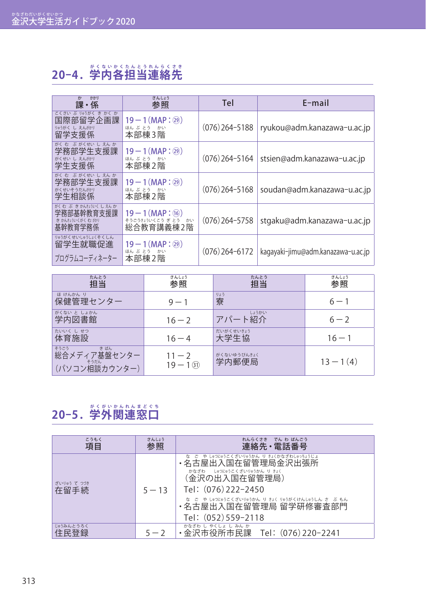### **20-4 .学 が く 内 な い 各 か く 担 た ん 当 と う 連 れ ん 絡 ら く 先 さ き**

| かかり<br>ゕ<br>課・係                                                | さんしょう<br>参照                                                  | Tel              | $E$ -mail                          |
|----------------------------------------------------------------|--------------------------------------------------------------|------------------|------------------------------------|
| こくさい ぶりゅうがく きかくか<br>国際部留学企画課<br>りゅうがく し えんがかり<br>留学支援係         | $19 - 1$ (MAP : $(29)$ )<br>ほんぶとう かい<br>本部棟3階                | $(076)$ 264-5188 | ryukou@adm.kanazawa-u.ac.jp        |
| がくむ ぶがくせいしえんか<br>学務部学生支援課<br>がくせい し えんがかり<br>学生支援係             | $19 - 1$ (MAP : $(29)$ )<br>ほんぶとう かい<br>本部棟2階                | $(076)$ 264-5164 | stsien@adm.kanazawa-u.ac.jp        |
| がくむ ぶがくせいしえんか<br>学務部学生支援課<br>がくせいそうだんがかり<br>学生相談係              | $19 - 1$ (MAP : $(29)$ )<br>ほんぶとう かい<br>本部棟2階                | $(076)$ 264-5168 | soudan@adm.kanazawa-u.ac.jp        |
| がくむ ぶ きかんきけいくしえんか<br>学務部基幹教育支援課<br>き かんきょういくがく む 扮り<br>基幹教育学務係 | $19 - 1$ (MAP : (16))<br>そうごうきょういくこう ぎ とう<br>かい<br>総合教育講義棟2階 | $(076)$ 264-5758 | stgaku@adm.kanazawa-u.ac.jp        |
| りゅうがくせいしゅうしょくそくしん<br>留学生就職促進<br>プログラムコーディネーター                  | $19 - 1$ (MAP : $(29)$ )<br>ほんぶとう かい<br>本部棟2階                | $(076)$ 264-6172 | kagayaki-jimu@adm.kanazawa-u.ac.jp |

| たんとう<br>扣当                                           | さんしょう<br>参照            | たんとう<br>扣当           | さんしょう<br>参照 |
|------------------------------------------------------|------------------------|----------------------|-------------|
| ほ けんかん り<br>保健管理センター                                 | $9 - 1$                | りょう<br>寮             | $6 - 1$     |
| がくない と しょかん<br>学内図書館                                 | $16 - 2$               | しょうかい<br>アパート紹介      | $6 - 2$     |
| たいいく しせつ<br>体育施設                                     | $16 - 4$               | だいがくせいきょう<br>大学生協    | $16 - 1$    |
| そうごう<br>きばん<br>総合メディア基盤センター<br>そうだん<br>(パソコン相談カウンター) | $11 - 2$<br>$19 - 131$ | がくないゆうびんきょく<br>学内郵便局 | $13 - 1(4)$ |

### 20−5.学外関連窓口

| こうもく<br>項目          | さんしょう<br>参照 | れんらくさき でん わ ばんごう<br>連絡先・電話番号                                                                                                                                                                                                               |
|---------------------|-------------|--------------------------------------------------------------------------------------------------------------------------------------------------------------------------------------------------------------------------------------------|
| ざいりゅう て つづき<br>在留手続 | $5 - 13$    | な ご や しゅつにゅうこくざいりゅうかん り きょくかなざわしゅっちょうじょ<br>・名古屋出入国在留管理局金沢出張所<br>しゅつにゅうこくざいりゅうかん り きょく<br>かなざわ<br>(金沢の出入国在留管理局)<br>Tel: (076) 222-2450<br>な ご や しゅつにゅうこくざいりゅうかん り きょく りゅうがくけんしゅうしん さ ぶ もん<br>・名古屋出入国在留管理局 留学研修審杳部門<br>Tel: $(052)$ 559-2118 |
| じゅうみんとうろく<br>住民登録   | $5 - 2$     | かなざわ しゃくしょ しみんか<br>金沢市役所市民課<br>Tel:(076)220-2241                                                                                                                                                                                           |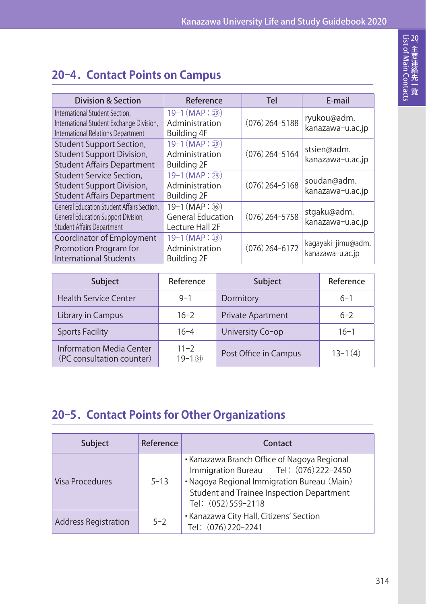### **20-4.Contact Points on Campus**

| <b>Division &amp; Section</b>                                                                                          | Reference                                                                       | Tel              | E-mail                                 |
|------------------------------------------------------------------------------------------------------------------------|---------------------------------------------------------------------------------|------------------|----------------------------------------|
| International Student Section.<br>International Student Exchange Division,<br>International Relations Department       | $19-1$ (MAP : $(29)$ )<br>Administration<br>Building 4F                         | $(076)$ 264-5188 | ryukou@adm.<br>kanazawa-u.ac.jp        |
| Student Support Section,<br>Student Support Division,<br><b>Student Affairs Department</b>                             | $19-1$ (MAP : $(29)$ )<br>Administration<br><b>Building 2F</b>                  | $(076)$ 264-5164 | stsien@adm.<br>kanazawa-u.ac.jp        |
| Student Service Section,<br>Student Support Division,<br><b>Student Affairs Department</b>                             | $19-1$ (MAP: $(29)$ )<br>Administration<br><b>Building 2F</b>                   | $(076)$ 264-5168 | soudan@adm.<br>kanazawa-u.ac.jp        |
| General Education Student Affairs Section.<br>General Education Support Division,<br><b>Student Affairs Department</b> | $19-1$ (MAP: $(\overline{16})$ )<br><b>General Education</b><br>Lecture Hall 2F | $(076)$ 264-5758 | stgaku@adm.<br>kanazawa-u.ac.jp        |
| Coordinator of Employment<br>Promotion Program for<br><b>International Students</b>                                    | $19-1$ (MAP: $(29)$ )<br>Administration<br><b>Building 2F</b>                   | $(076)$ 264-6172 | kagayaki-jimu@adm.<br>kanazawa-u.ac.jp |

| <b>Subject</b>                                               | Reference              | Subject                  | Reference |
|--------------------------------------------------------------|------------------------|--------------------------|-----------|
| <b>Health Service Center</b>                                 | $9 - 1$                | Dormitory                | $6 - 1$   |
| Library in Campus                                            | $16 - 2$               | <b>Private Apartment</b> | $6 - 2$   |
| <b>Sports Facility</b>                                       | $16 - 4$               | University Co-op         | $16-1$    |
| <b>Information Media Center</b><br>(PC consultation counter) | $11 - 2$<br>$19 - 131$ | Post Office in Campus    | $13-1(4)$ |

#### **20-5.Contact Points for Other Organizations**

| <b>Subject</b>              | Reference | Contact                                                                                                                                                                                                  |
|-----------------------------|-----------|----------------------------------------------------------------------------------------------------------------------------------------------------------------------------------------------------------|
| Visa Procedures             | $5 - 13$  | • Kanazawa Branch Office of Nagoya Regional<br>Immigration Bureau Tel: (076) 222-2450<br>• Nagoya Regional Immigration Bureau (Main)<br>Student and Trainee Inspection Department<br>Tel: (052) 559-2118 |
| <b>Address Registration</b> | $5 - 2$   | • Kanazawa City Hall, Citizens' Section<br>Tel: (076) 220-2241                                                                                                                                           |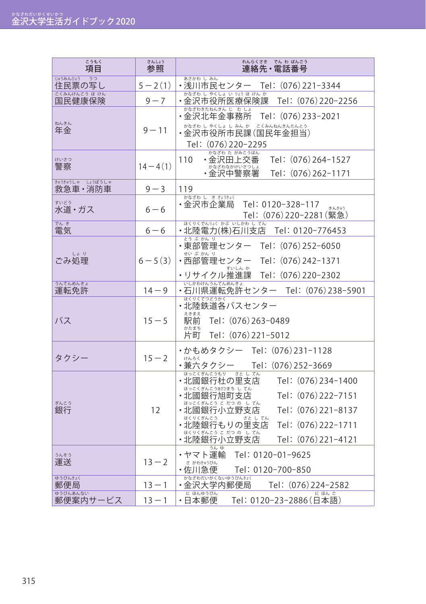| こうもく<br>項目                  | さんしょう<br>参照 | れんらくさき でん わ ばんごう<br>連絡先・電話番号                                                                                                                                                                                                                                                             |
|-----------------------------|-------------|------------------------------------------------------------------------------------------------------------------------------------------------------------------------------------------------------------------------------------------------------------------------------------------|
| じゅうみんひょう うつ<br>住民票の写し       | $5 - 2(1)$  | あさかわ しみん<br>・浅川市民センター Tel: (076)221-3344                                                                                                                                                                                                                                                 |
| こくみんけんこう ほ けん<br>国民健康保険     | $9 - 7$     | かなざわ し やくしょ いりょうほ けんか<br>·金沢市役所医療保険課<br>Tel:(076)220-2256                                                                                                                                                                                                                                |
| ねんきん<br>年金                  | $9 - 11$    | かなざわきたねんきん じ む しょ<br>・金沢北年金事務所<br>Tel:(076)233-2021<br>かなざわ し やくしょ し みん か こくみんねんきんたんとう<br>・金沢市役所市民課(国民年金担当)<br>Tel: (076) 220-2295                                                                                                                                                       |
| けいさつ<br>警察                  | $14-4(1)$   | かなざわ た がみこうばん<br>110<br>・金沢田上交番<br>Tel: (076) 264-1527<br>かなざわなかけいさつしょ<br>・金沢中警察署<br>Tel: (076) 262-1171                                                                                                                                                                                 |
| きゅうきゅうしゃ しょうぼうしゃ<br>救急車・消防車 | $9 - 3$     | 119                                                                                                                                                                                                                                                                                      |
| すいどう<br>水道・ガス               | $6 - 6$     | かなざわ し きぎょうきょく<br>Tel: 0120-328-117<br>・金沢市企業局<br>きんきゅう<br>Tel: (076)220-2281(緊急)                                                                                                                                                                                                        |
| でんき<br>電気                   | $6 - 6$     | ほくりくでんりょく かぶ いしかわ してん<br>・北陸電力(株)石川支店<br>Tel: 0120-776453                                                                                                                                                                                                                                |
| しょり<br>ごみ処理                 | $6 - 5(3)$  | とうぶかんり<br>・東部管理センター<br>Tel: (076) 252-6050<br>せいぶかんり<br>・西部管理センター<br>Tel: (076) 242-1371<br>すいしん か<br>・リサイクル推進課<br>Tel: (076) 220-2302                                                                                                                                                   |
| うんてんめんきょ<br>運転免許            | $14 - 9$    | いしかわけんうんてんめんきょ<br>・石川県運転免許センター Tel: (076)238-5901                                                                                                                                                                                                                                        |
| バス                          | $15 - 5$    | ほくりくてつどうかく<br>・北陸鉄道各バスセンター<br>えきまえ<br>駅前<br>Tel: (076) 263-0489<br>かたまち<br>片町<br>Tel: (076) 221-5012                                                                                                                                                                                     |
| タクシー                        | $15 - 2$    | ・かもめタクシー Tel:(076)231-1128<br>けんろく<br>・兼六タクシー<br>Tel: (076) 252-3669                                                                                                                                                                                                                     |
| ぎんこう<br>銀行                  | 12          | ほっこくぎんこうもり さとしてん<br>Tel: (076) 234-1400<br>・北國銀行杜の里支店<br>ほっこくぎんこうあさひまち し てん<br>・北國銀行旭町支店<br>Tel:(076)222-7151<br>ほっこくぎんこう こだつのしてん<br>·北國銀行小立野支店<br>Tel:(076)221-8137<br>ほくりくぎんこう<br>さとしてん<br>・北陸銀行もりの里支店<br>Tel: (076) 222-1711<br>ほくりくぎんこう こだつのしてん<br>・北陸銀行小立野支店<br>Tel: (076) 221-4121 |
| うんそう<br>運送                  | $13 - 2$    | うんゆ<br>・ヤマト運輸<br>Tel: 0120-01-9625<br>さ がわきゅうびん<br>・佐川急便<br>Tel: 0120-700-850                                                                                                                                                                                                            |
| ゆうびんきょく<br>郵便局              | $13 - 1$    | 、ホタミサカだいがくないゆうびんきょく<br>•金沢大学内郵便局<br>Tel: (076)224-2582                                                                                                                                                                                                                                   |
| ゆうびんあんない<br>郵便案内サービス        | $13 - 1$    | に ほんゆうびん<br>にほんご<br>・日本郵便<br>Tel: 0120-23-2886 (日本語)                                                                                                                                                                                                                                     |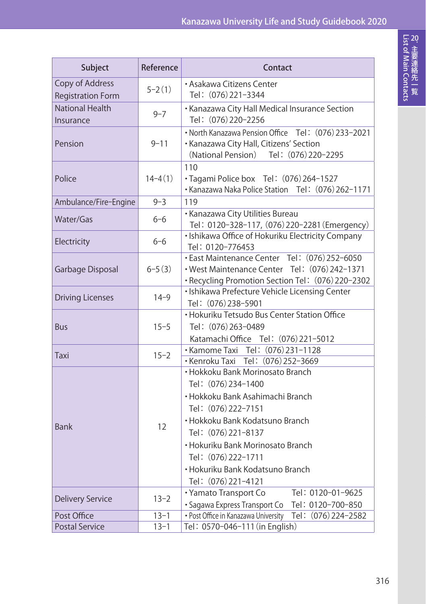| Subject                                     | Reference   | Contact                                                                                                                                                                                                                                                                                             |
|---------------------------------------------|-------------|-----------------------------------------------------------------------------------------------------------------------------------------------------------------------------------------------------------------------------------------------------------------------------------------------------|
| Copy of Address<br><b>Registration Form</b> | $5 - 2(1)$  | · Asakawa Citizens Center<br>Tel: (076) 221-3344                                                                                                                                                                                                                                                    |
| <b>National Health</b><br>Insurance         | $9 - 7$     | • Kanazawa City Hall Medical Insurance Section<br>Tel: (076) 220-2256                                                                                                                                                                                                                               |
| Pension                                     | $9 - 11$    | • North Kanazawa Pension Office Tel: (076) 233-2021<br>· Kanazawa City Hall, Citizens' Section<br>(National Pension) Tel: (076) 220-2295                                                                                                                                                            |
| Police                                      | $14 - 4(1)$ | 110<br>· Tagami Police box Tel: (076) 264-1527<br>• Kanazawa Naka Police Station Tel: (076) 262-1171                                                                                                                                                                                                |
| Ambulance/Fire-Engine                       | $9 - 3$     | 119                                                                                                                                                                                                                                                                                                 |
| Water/Gas                                   | $6 - 6$     | · Kanazawa City Utilities Bureau<br>Tel: 0120-328-117, (076) 220-2281 (Emergency)                                                                                                                                                                                                                   |
| Electricity                                 | $6 - 6$     | · Ishikawa Office of Hokuriku Electricity Company<br>Tel: 0120-776453                                                                                                                                                                                                                               |
| Garbage Disposal                            | $6 - 5(3)$  | · East Maintenance Center Tel: (076) 252-6050<br>· West Maintenance Center Tel: (076) 242-1371<br>· Recycling Promotion Section Tel: (076) 220-2302                                                                                                                                                 |
| <b>Driving Licenses</b>                     | $14 - 9$    | · Ishikawa Prefecture Vehicle Licensing Center<br>Tel: (076) 238-5901                                                                                                                                                                                                                               |
| Bus                                         | $15 - 5$    | • Hokuriku Tetsudo Bus Center Station Office<br>Tel: (076) 263-0489<br>Katamachi Office Tel: (076) 221-5012                                                                                                                                                                                         |
| Taxi                                        | $15 - 2$    | · Kamome Taxi Tel: (076) 231-1128<br>· Kenroku Taxi Tel: (076) 252-3669                                                                                                                                                                                                                             |
| <b>Bank</b>                                 | 12          | • Hokkoku Bank Morinosato Branch<br>Tel: (076) 234-1400<br>• Hokkoku Bank Asahimachi Branch<br>Tel: (076) 222-7151<br>• Hokkoku Bank Kodatsuno Branch<br>Tel: (076) 221-8137<br>· Hokuriku Bank Morinosato Branch<br>Tel: (076) 222-1711<br>• Hokuriku Bank Kodatsuno Branch<br>Tel: (076) 221-4121 |
| <b>Delivery Service</b>                     | $13 - 2$    | · Yamato Transport Co<br>Tel: 0120-01-9625<br>· Sagawa Express Transport Co<br>Tel: 0120-700-850                                                                                                                                                                                                    |
| Post Office                                 | $13 - 1$    | • Post Office in Kanazawa University<br>Tel: (076) 224-2582                                                                                                                                                                                                                                         |
| <b>Postal Service</b>                       | $13 - 1$    | Tel: 0570-046-111 (in English)                                                                                                                                                                                                                                                                      |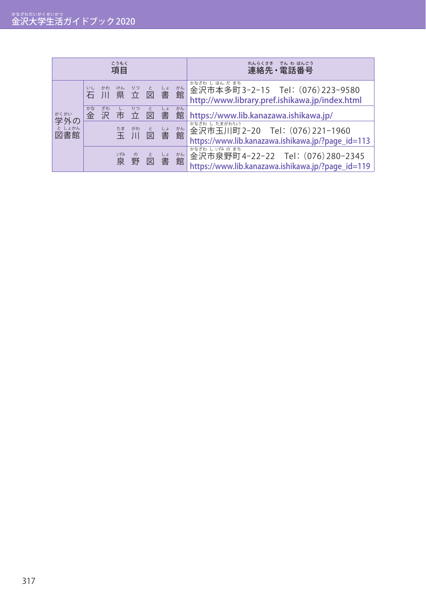| こうもく<br>項目          |         |         |          |                         | れんらくさき<br>でん わ ばんごう<br>連絡先・電話番号 |         |         |                                                                                                        |
|---------------------|---------|---------|----------|-------------------------|---------------------------------|---------|---------|--------------------------------------------------------------------------------------------------------|
|                     | いし      | かわ      |          | <b>りゅうしょかん</b><br>県立図書館 |                                 |         |         | かなざわ し ほん だ まち<br>金沢市本多町3-2-15 Tel: (076) 223-9580<br>http://www.library.pref.ishikawa.jp/index.html   |
| がくがい                | かな<br>金 | ざわ<br>沢 | U        | りつ<br>市立図               | ーと                              | しょ<br>書 | かん<br>館 | https://www.lib.kanazawa.ishikawa.jp/                                                                  |
| 学外の<br>としょかん<br>図書館 |         |         |          | <sup>たま がわ</sup>        | と<br>図                          | 書       | 松館      | かなざわ し たまがわちょう<br>金沢市玉川町2-20 Tel: (076)221-1960<br>https://www.lib.kanazawa.ishikawa.jp/?page_id=113   |
|                     |         |         | いずみ<br>泉 | 野                       |                                 |         | かん      | かなざわ し いずみのまち<br>金沢市泉野町4-22-22 Tel: (076)280-2345<br>https://www.lib.kanazawa.ishikawa.jp/?page_id=119 |